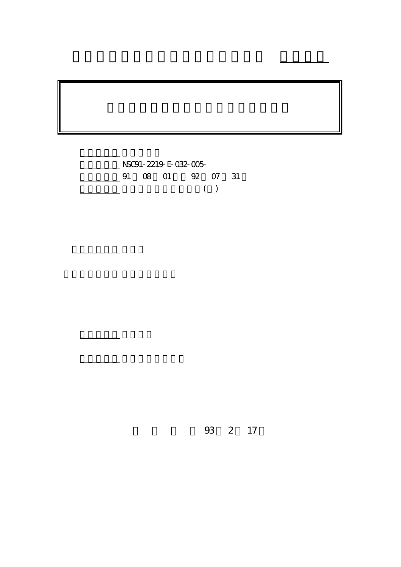

計畫主持人: 嚴雨田

計畫參與人員: 劉鴻裕、利哲瑋

報告類型: 精簡報告

。<br>在前書 : 本計畫可公開查詢

行政院國家科學委員會專題研究計畫 成果報告

93 2 17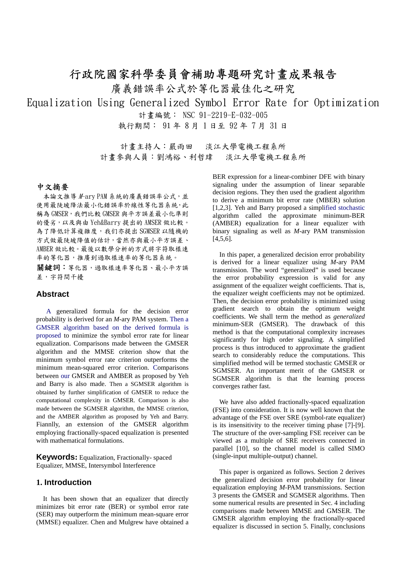## 行政院國家科學委員會補助專題研究計畫成果報告

廣義錯誤率公式於等化器最佳化之研究

Equalization Using Generalized Symbol Error Rate for Optimization

計畫編號: NSC 91-2219-E-032-005

執行期間: 91 年 8 月 1 日至 92 年 7 月 31 日

計畫主持人:嚴雨田 淡江大學電機工程系所 計畫參與人員:劉鴻裕、利哲瑋 淡江大學電機工程系所

#### 中文摘要

本論文推導 //-ary PAM 系統的廣義錯誤率公式,並 使用最陡坡降法最小化錯誤率於線性等化器系統,此 稱為 GMSER, 我們比較 GMSER 與平方誤差最小化準則 的優劣,以及與由 Yeh&Barry 提出的 AMSER 做比較。 為了降低計算複雜度,我们亦提出 SGMSER 以隨機的 方式做最陡坡降值的估計,當然亦與最小平方誤差、 AMBER 做比較。最後以數學分析的方式將字符取樣速 率的等化器,推廣到過取樣速率的等化器系統。

關鍵詞: 等化器, 過取樣速率等化器、最小平方誤 差,字符間干擾

#### **Abstract**

A generalized formula for the decision error probability is derived for an *M*-ary PAM system. Then a GMSER algorithm based on the derived formula is proposed to minimize the symbol error rate for linear equalization. Comparisons made between the GMSER algorithm and the MMSE criterion show that the minimum symbol error rate criterion outperforms the minimum mean-squared error criterion. Comparisons between our GMSER and AMBER as proposed by Yeh and Barry is also made. Then a SGMSER algorithm is obtained by further simplification of GMSER to reduce the computational complexity in GMSER. Comparison is also made between the SGMSER algorithm, the MMSE criterion, and the AMBER algorithm as proposed by Yeh and Barry. Fiannlly, an extension of the GMSER algorithm employing fractionally-spaced equalization is presented with mathematical formulations.

**Keywords:** Equalization, Fractionally- spaced Equalizer, MMSE, Intersymbol Interference

## **1. Introduction**

It has been shown that an equalizer that directly minimizes bit error rate (BER) or symbol error rate (SER) may outperform the minimum mean-square error (MMSE) equalizer. Chen and Mulgrew have obtained a BER expression for a linear-combiner DFE with binary signaling under the assumption of linear separable decision regions. They then used the gradient algorithm to derive a minimum bit error rate (MBER) solution [1,2,3]. Yeh and Barry proposed a simplified stochastic algorithm called the approximate minimum-BER (AMBER) equalization for a linear equalizer with binary signaling as well as *M*-ary PAM transmission  $[4,5,6]$ .

In this paper, a generalized decision error probability is derived for a linear equalizer using *M*-ary PAM transmission. The word "generalized" is used because the error probability expression is valid for any assignment of the equalizer weight coefficients. That is, the equalizer weight coefficients may not be optimized. Then, the decision error probability is minimized using gradient search to obtain the optimum weight coefficients. We shall term the method as *generalized* minimum-SER (GMSER). The drawback of this method is that the computational complexity increases significantly for high order signaling. A simplified process is thus introduced to approximate the gradient search to considerably reduce the computations. This simplified method will be termed stochastic GMSER or SGMSER. An important merit of the GMSER or SGMSER algorithm is that the learning process converges rather fast.

We have also added fractionally-spaced equalization (FSE) into consideration. It is now well known that the advantage of the FSE over SRE (symbol-rate equalizer) is its insensitivity to the receiver timing phase [7]-[9]. The structure of the over-sampling FSE receiver can be viewed as a multiple of SRE receivers connected in parallel [10], so the channel model is called SIMO (single-input multiple-output) channel.

This paper is organized as follows. Section 2 derives the generalized decision error probability for linear equalization employing *M*-PAM transmissions. Section 3 presents the GMSER and SGMSER algorithms. Then some numerical results are presented in Sec. 4 including comparisons made between MMSE and GMSER. The GMSER algorithm employing the fractionally-spaced equalizer is discussed in section 5. Finally, conclusions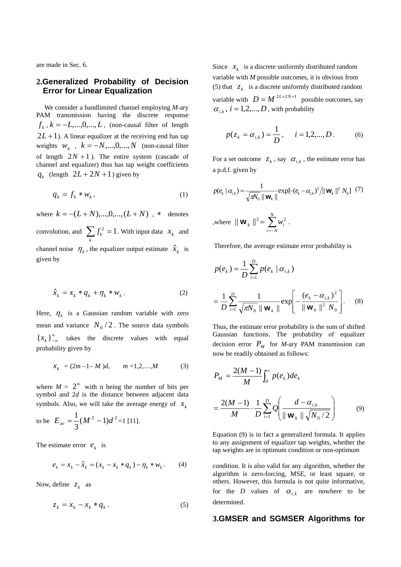are made in Sec. 6.

## **2.Generalized Probability of Decision Error for Linear Equalization**

We consider a bandlimited channel employing *M-*ary PAM transmission having the discrete response  $f_k$ ,  $k = -L, ..., 0, ..., L$ , (non-causal filter of length  $2L+1$ ). A linear equalizer at the receiving end has tap weights  $W_k$ ,  $k = -N, ..., 0, ..., N$  (non-causal filter of length  $2N + 1$ ). The entire system (cascade of channel and equalizer) thus has tap weight coefficients  $q_k$  (length  $2L + 2N + 1$ ) given by

$$
q_k = f_k * w_k, \qquad (1)
$$

where  $k = -(L+N),...,0,...,(L+N)$ , \* denotes convolution, and  $\sum_{k} f_k^2 = 1$ . With input data  $x_k$  and channel noise  $\eta_k$ , the equalizer output estimate  $\hat{x}_k$  is given by

$$
\hat{x}_k = x_k * q_k + \eta_k * w_k. \tag{2}
$$

Here,  $\eta_k$  is a Gaussian random variable with zero mean and variance  $N_0/2$ . The source data symbols  $\left\{x_k\right\}_{-\infty}^{\infty}$  takes the discrete values with equal probability given by

$$
x_k = (2m - 1 - M)d, \qquad m = 1, 2, \dots, M \tag{3}
$$

where  $M = 2^{n}$  with n being the number of bits per symbols. Also, we will take the average energy of  $x_k$ symbol and 2*d* is the distance between adjacent data

to be 
$$
E_{av} = \frac{1}{3}(M^2 - 1)d^2 = 1
$$
 [11].

The estimate error  $e_k$  is

$$
e_k = x_k - \hat{x}_k = (x_k - x_k * q_k) - \eta_k * w_k. \tag{4}
$$

Now, define  $z_k$  as

$$
z_k = x_k - x_k \cdot q_k. \tag{5}
$$

Since  $x_k$  is a discrete uniformly distributed random variable with  $D = M^{2L+2N+1}$  possible outcomes, say variable with *M* possible outcomes, it is obvious from (5) that  $z_k$  is a discrete uniformly distributed random  $\alpha_{i,k}$ ,  $i = 1,2,...,D$ , with probability

$$
p(z_k = \alpha_{i,k}) = \frac{1}{D}, \quad i = 1, 2, \dots, D.
$$
 (6)

For a set outcome  $z_k$ , say  $\alpha_{i,k}$ , the estimate error has a p.d.f. given by

$$
p(e_k | \alpha_{i,k}) = \frac{1}{\sqrt{\pi V_0} || \mathbf{w}_k ||} \exp[-(e_k - \alpha_{i,k})^2 / || \mathbf{w}_k ||^2 N_0] \tag{7}
$$
  
where  $|| \mathbf{w}_k ||^2 = \sum_{i=-N}^{N} w_i^2$ .

Therefore, the average estimate error probability is

$$
p(e_k) = \frac{1}{D} \sum_{i=1}^{D} p(e_k | \alpha_{i,k})
$$
  
= 
$$
\frac{1}{D} \sum_{i=1}^{D} \frac{1}{\sqrt{\pi N_0} || \mathbf{w}_k ||} \exp \left[ -\frac{(e_k - \alpha_{i,k})^2}{|| \mathbf{w}_k ||^2 N_0} \right].
$$
 (8)

decision error  $P_M$  for *M*-ary PAM transmission can Thus, the estimate error probability is the sum of shifted Gaussian functions. The probability of equalizer now be readily obtained as follows:

$$
P_M = \frac{2(M-1)}{M} \int_a^{\infty} p(e_k) de_k
$$
  
= 
$$
\frac{2(M-1)}{M} \cdot \frac{1}{D} \sum_{i=1}^{D} Q\left(\frac{d - a_{i,k}}{\|\mathbf{w}_k\| \sqrt{N_0 / 2}}\right)
$$
 (9)

Equation (9) is in fact a generalized formula. It applies to any assignment of equalizer tap weights, whether the tap weights are in optimum condition or non-optimum

condition. It is also valid for any algorithm, whether the algorithm is zero-forcing, MSE, or least square, or others. However, this formula is not quite informative, for the *D* values of  $\alpha_{i,k}$  are nowhere to be determined.

## **3.GMSER and SGMSER Algorithms for**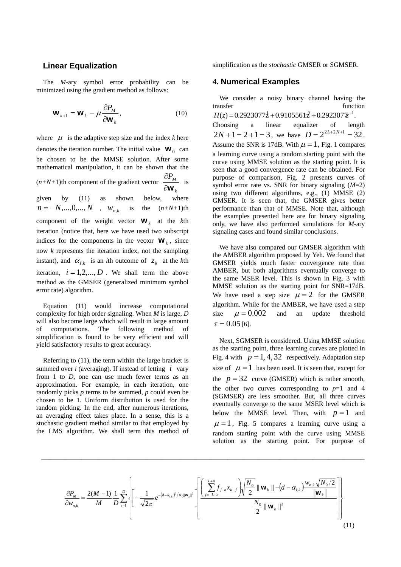#### **Linear Equalization**

The *M*-ary symbol error probability can be minimized using the gradient method as follows:

$$
\mathbf{W}_{k+1} = \mathbf{W}_k - \mu \frac{\partial P_M}{\partial \mathbf{W}_k},
$$
 (10)

where  $\mu$  is the adaptive step size and the index *k* here denotes the iteration number. The initial value  $W_0$  can be chosen to be the MMSE solution. After some mathematical manipulation, it can be shown that the (*n+N+*1)th component of the gradient vector *k PM* ∂**w**  $\frac{\partial P_M}{\partial x}$  is indices for the components in the vector  $\mathbf{W}_k$ , since given by (11) as shown below, where is the  $(n+N+1)$ th component of the weight vector  $\mathbf{W}_k$  at the *k*th iteration (notice that, here we have used two subscript now *k* represents the iteration index, not the sampling instant), and  $\alpha_{i,k}$  is an *i*th outcome of  $z_k$  at the *k*th  $n = -N, ..., 0, ..., N$ ,  $w_{n,k}$ iteration,  $i = 1, 2, ..., D$ . We shall term the above method as the GMSER (generalized minimum symbol error rate) algorithm.

Equation (11) would increase computational complexity for high order signaling. When *M* is large, *D* will also become large which will result in large amount of computations. The following method of simplification is found to be very efficient and will yield satisfactory results to great accuracy.

summed over *i* (averaging). If instead of letting  $i$  vary Referring to (11), the term within the large bracket is from 1 to *D*, one can use much fewer terms as an approximation. For example, in each iteration, one randomly picks *p* terms to be summed, *p* could even be chosen to be 1. Uniform distribution is used for the random picking. In the end, after numerous iterations, an averaging effect takes place. In a sense, this is a stochastic gradient method similar to that employed by the LMS algorithm. We shall term this method of simplification as the *stochastic* GMSER or SGMSER.

## **4. Numerical Examples**

 $H(z) = 0.2923077\dot{z} + 0.9105561\dot{z} + 0.292307\dot{z}^{-1}.$ We consider a noisy binary channel having the transfer function Choosing a linear equalizer of length  $2N + 1 = 2 + 1 = 3$ , we have  $D = 2^{2L + 2N + 1} = 32$ . Assume the SNR is 17dB. With  $\mu = 1$ , Fig. 1 compares a learning curve using a random starting point with the curve using MMSE solution as the starting point. It is seen that a good convergence rate can be obtained. For purpose of comparison, Fig. 2 presents curves of symbol error rate vs. SNR for binary signaling (*M*=2) using two different algorithms, e.g., (1) MMSE (2) GMSER. It is seen that, the GMSER gives better performance than that of MMSE. Note that, although the examples presented here are for binary signaling only, we have also performed simulations for *M*-ary signaling cases and found similar conclusions.

We have also compared our GMSER algorithm with the AMBER algorithm proposed by Yeh. We found that GMSER yields much faster convergence rate than AMBER, but both algorithms eventually converge to the same MSER level. This is shown in Fig. 3 with MMSE solution as the starting point for SNR=17dB. We have used a step size  $\mu = 2$  for the GMSER algorithm. While for the AMBER, we have used a step size  $\mu = 0.002$  and an update threshold  $\tau = 0.05$  [6].

Next, SGMSER is considered. Using MMSE solution as the starting point, three learning curves are plotted in Fig. 4 with  $p = 1, 4, 32$  respectively. Adaptation step size of  $\mu = 1$  has been used. It is seen that, except for the  $p = 32$  curve (GMSER) which is rather smooth, below the MMSE level. Then, with  $p = 1$  and the other two curves corresponding to  $p=1$  and 4 (SGMSER) are less smoother. But, all three curves eventually converge to the same MSER level which is  $\mu = 1$ , Fig. 5 compares a learning curve using a random starting point with the curve using MMSE solution as the starting point. For purpose of

$$
\frac{\partial P_M}{\partial w_{n,k}} = \frac{2(M-1)}{M} \frac{1}{D} \sum_{i=1}^{D} \left\{ \left[ -\frac{1}{\sqrt{2\pi}} e^{-(d-\alpha_{i,k})^2 / N_0 ||\mathbf{w}_k||^2} \right] \left[ \frac{\left( \sum_{j=-L+n}^{L+n} f_{j-n} x_{k-j} \right) \sqrt{\frac{N_0}{2}} ||\mathbf{w}_k|| - (d-\alpha_{i,k}) \frac{w_{n,k} \sqrt{N_0/2}}{||\mathbf{w}_k||} \right] \right\}
$$
(11)

\_\_\_\_\_\_\_\_\_\_\_\_\_\_\_\_\_\_\_\_\_\_\_\_\_\_\_\_\_\_\_\_\_\_\_\_\_\_\_\_\_\_\_\_\_\_\_\_\_\_\_\_\_\_\_\_\_\_\_\_\_\_\_\_\_\_\_\_\_\_\_\_\_\_\_\_\_\_\_\_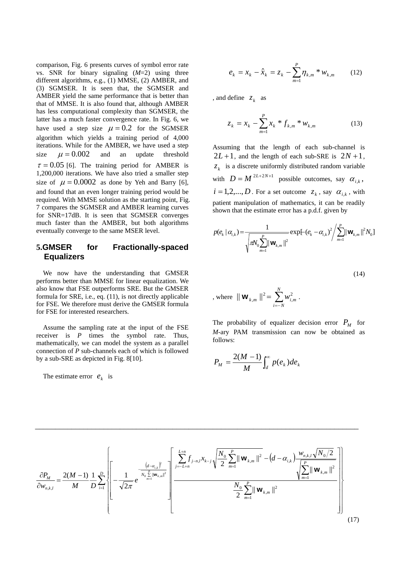comparison, Fig. 6 presents curves of symbol error rate vs. SNR for binary signaling (*M*=2) using three different algorithms, e.g., (1) MMSE, (2) AMBER, and (3) SGMSER. It is seen that, the SGMSER and AMBER yield the same performance that is better than that of MMSE. It is also found that, although AMBER has less computational complexity than SGMSER, the latter has a much faster convergence rate. In Fig. 6, we have used a step size  $\mu = 0.2$  for the SGMSER algorithm which yields a training period of 4,000 iterations. While for the AMBER, we have used a step size  $\mu = 0.002$  and an update threshold  $\tau = 0.05$  [6]. The training period for AMBER is 1,200,000 iterations. We have also tried a smaller step size of  $\mu = 0.0002$  as done by Yeh and Barry [6], and found that an even longer training period would be required. With MMSE solution as the starting point, Fig. 7 compares the SGMSER and AMBER learning curves for SNR=17dB. It is seen that SGMSER converges much faster than the AMBER, but both algorithms eventually converge to the same MSER level.

## **5.GMSER for Fractionally-spaced Equalizers**

We now have the understanding that GMSER performs better than MMSE for linear equalization. We also know that FSE outperforms SRE. But the GMSER formula for SRE, i.e., eq. (11), is not directly applicable for FSE. We therefore must derive the GMSER formula for FSE for interested researchers.

Assume the sampling rate at the input of the FSE receiver is *P* times the symbol rate. Thus, mathematically, we can model the system as a parallel connection of *P* sub-channels each of which is followed by a sub-SRE as depicted in Fig. 8[10].

The estimate error  $e_k$  is

$$
e_k = x_k - \hat{x}_k = z_k - \sum_{m=1}^P \eta_{k,m} * w_{k,m}
$$
 (12)

, and define  $z_k$  as

$$
z_k = x_k - \sum_{m=1}^{P} x_k * f_{k,m} * w_{k,m}
$$
 (13)

 $2L+1$ , and the length of each sub-SRE is  $2N+1$ , Assuming that the length of each sub-channel is  $z_k$  is a discrete uniformly distributed random variable with  $D = M^{2L+2N+1}$  possible outcomes, say  $\alpha_{i,k}$ ,  $i = 1, 2, \dots, D$ . For a set outcome  $z_k$ , say  $\alpha_{i,k}$ , with patient manipulation of mathematics, it can be readily shown that the estimate error has a p.d.f. given by

$$
p(e_k | \alpha_{i,k}) = \frac{1}{\sqrt{\pi N_0 \sum_{m=1}^P ||\mathbf{w}_{k,m}||^2}} \exp[-(e_k - \alpha_{i,k})^2 / \sum_{m=1}^P ||\mathbf{w}_{k,m}||^2 N_0]
$$

$$
(14)
$$

, where 
$$
\|\mathbf{W}_{k,m}\|^2 = \sum_{i=-N}^{N} w_{i,m}^2
$$
.

The probability of equalizer decision error  $P_M$  for *M*-ary PAM transmission can now be obtained as follows:

$$
P_M = \frac{2(M-1)}{M} \int_a^{\infty} p(e_k) de_k
$$

$$
\frac{\partial P_M}{\partial w_{n,k,l}} = \frac{2(M-1)}{M} \frac{1}{D} \sum_{i=1}^{D} \left\{ \left[ -\frac{1}{\sqrt{2\pi}} e^{-\frac{\left(d - \alpha_{i,k}\right)^2}{N_0 \sum_{m=1}^{P} ||\mathbf{w}_{k,m}||^2}} \left[ \frac{\sum_{j=-L+n}^{L+n} f_{j-n,l} x_{k-j}}{2} \sqrt{\frac{N_0}{2} \sum_{m=1}^{P} ||\mathbf{w}_{k,m}||^2} - \left(d - \alpha_{i,k}\right) \frac{w_{n,k,l} \sqrt{N_0/2}}{\sqrt{\sum_{m=1}^{P} ||\mathbf{w}_{k,m}||^2}} \right] \right\}
$$
(17)

\_\_\_\_\_\_\_\_\_\_\_\_\_\_\_\_\_\_\_\_\_\_\_\_\_\_\_\_\_\_\_\_\_\_\_\_\_\_\_\_\_\_\_\_\_\_\_\_\_\_\_\_\_\_\_\_\_\_\_\_\_\_\_\_\_\_\_\_\_\_\_\_\_\_\_\_\_\_\_\_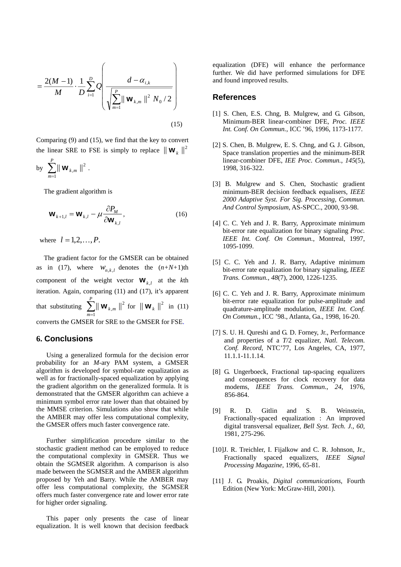$$
= \frac{2(M-1)}{M} \cdot \frac{1}{D} \sum_{i=1}^{D} Q \left( \frac{d - \alpha_{i,k}}{\sqrt{\sum_{m=1}^{P} || \mathbf{w}_{k,m} ||^2 N_0 / 2}} \right)
$$
(15)

Comparing (9) and (15), we find that the key to convert the linear SRE to FSE is simply to replace  $\|\mathbf{W}_k\|^2$ 

by 
$$
\sum_{m=1}^{P} || \mathbf{W}_{k,m} ||^2
$$
.

The gradient algorithm is

$$
\mathbf{W}_{k+1,l} = \mathbf{W}_{k,l} - \mu \frac{\partial P_M}{\partial \mathbf{W}_{k,l}},
$$
\n(16)

where  $l = 1, 2, ..., P$ .

as in (17), where  $W_{n,k,l}$  denotes the  $(n+N+1)$ th component of the weight vector  $\mathbf{W}_{k,l}$  at the *k*th *P* The gradient factor for the GMSER can be obtained iteration. Again, comparing (11) and (17), it's apparent that substituting  $\sum_{m=1}^{n} || \mathbf{W}_{k,m} ||^2$  for  $|| \mathbf{W}_k ||^2$  in (11) converts the GMSER for SRE to the GMSER for FSE.  $\|\mathbf{W}\|_{k,m} \|^2$  for  $\|\mathbf{W}\|_{k} \|^2$ 

#### **6. Conclusions**

Using a generalized formula for the decision error probability for an *M*-ary PAM system, a GMSER algorithm is developed for symbol-rate equalization as well as for fractionally-spaced equalization by applying the gradient algorithm on the generalized formula. It is demonstrated that the GMSER algorithm can achieve a minimum symbol error rate lower than that obtained by the MMSE criterion. Simulations also show that while the AMBER may offer less computational complexity, the GMSER offers much faster convergence rate.

Further simplification procedure similar to the stochastic gradient method can be employed to reduce the computational complexity in GMSER. Thus we obtain the SGMSER algorithm. A comparison is also made between the SGMSER and the AMBER algorithm proposed by Yeh and Barry. While the AMBER may offer less computational complexity, the SGMSER offers much faster convergence rate and lower error rate for higher order signaling.

This paper only presents the case of linear equalization. It is well known that decision feedback

equalization (DFE) will enhance the performance further. We did have performed simulations for DFE and found improved results.

#### **References**

- [1] S. Chen, E.S. Chng, B. Mulgrew, and G. Gibson, Minimum-BER linear-combiner DFE, *Proc. IEEE Int. Conf. On Commun.*, ICC '96, 1996, 1173-1177.
- [2] S. Chen, B. Mulgrew, E. S. Chng, and G. J. Gibson, Space translation properties and the minimum-BER linear-combiner DFE, *IEE Proc. Commun.*, *145*(5), 1998, 316-322.
- [3] B. Mulgrew and S. Chen, Stochastic gradient minimum-BER decision feedback equalisers, *IEEE 2000 Adaptive Syst. For Sig. Processing, Commun. And Control Symposium*, AS-SPCC., 2000, 93-98.
- [4] C. C. Yeh and J. R. Barry, Approximate minimum bit-error rate equalization for binary signaling *Proc. IEEE Int. Conf. On Commun.*, Montreal, 1997, 1095-1099.
- [5] C. C. Yeh and J. R. Barry, Adaptive minimum bit-error rate equalization for binary signaling, *IEEE Trans. Commun.*, *48*(7), 2000, 1226-1235.
- [6] C. C. Yeh and J. R. Barry, Approximate minimum bit-error rate equalization for pulse-amplitude and quadrature-amplitude modulation, *IEEE Int. Conf. On Commun.*, ICC '98., Atlanta, Ga., 1998, 16-20.
- [7] S. U. H. Qureshi and G. D. Forney, Jr., Performance and properties of a *T*/2 equalizer, *Natl. Telecom. Conf. Record*, NTC'77, Los Angeles, CA, 1977, 11.1.1-11.1.14.
- [8] G. Ungerboeck, Fractional tap-spacing equalizers and consequences for clock recovery for data modems, *IEEE Trans. Commun.*, *24*, 1976, 856-864.
- [9] R. D. Gitlin and S. B. Weinstein, Fractionally-spaced equalization : An improved digital transversal equalizer, *Bell Syst. Tech. J., 60,* 1981, 275-296.
- [10] J. R. Treichler, I. Fijalkow and C. R. Johnson, Jr., Fractionally spaced equalizers, *IEEE Signal Processing Magazine,* 1996, 65-81.
- [11] J. G. Proakis, *Digital communications*, Fourth Edition (New York: McGraw-Hill, 2001).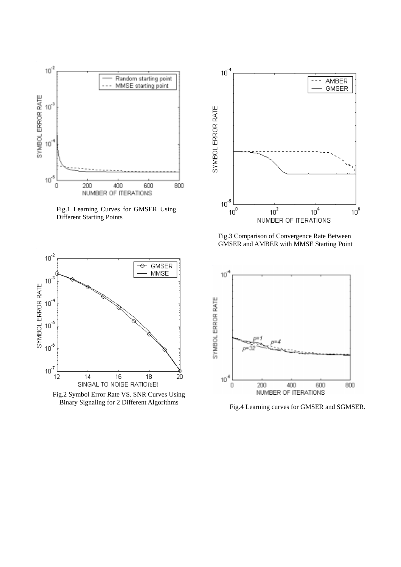

Fig.1 Learning Curves for GMSER Using Different Starting Points



Fig.2 Symbol Error Rate VS. SNR Curves Using



Fig.3 Comparison of Convergence Rate Between GMSER and AMBER with MMSE Starting Point



Fig.4 Learning curves for GMSER and SGMSER.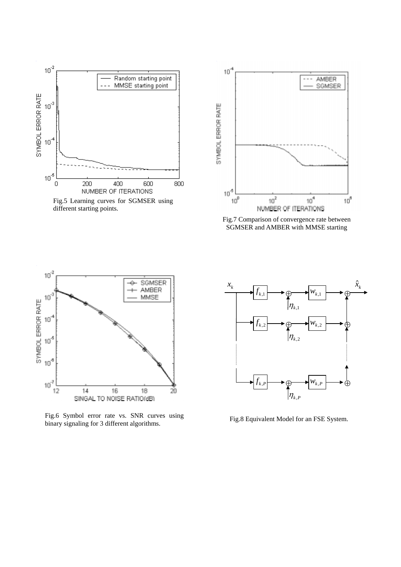

Fig.5 Learning curves for SGMSER using different starting points.



Fig.7 Comparison of convergence rate between SGMSER and AMBER with MMSE starting



Fig.6 Symbol error rate vs. SNR curves using binary signaling for 3 different algorithms.



Fig.8 Equivalent Model for an FSE System.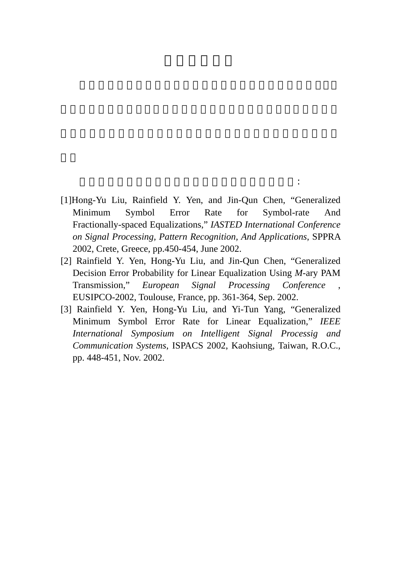[1]Hong-Yu Liu, Rainfield Y. Yen, and Jin-Qun Chen, "Generalized Minimum Symbol Error Rate for Symbol-rate And Fractionally-spaced Equalizations," *IASTED International Conference on Signal Processing, Pattern Recognition, And Applications*, SPPRA 2002, Crete, Greece, pp.450-454, June 2002.

計畫執行期間出席之國際學術會議暨發表之論文如下:

- [2] Rainfield Y. Yen, Hong-Yu Liu, and Jin-Qun Chen, "Generalized Decision Error Probability for Linear Equalization Using *M-*ary PAM Transmission," *European Signal Processing Conference* EUSIPCO-2002, Toulouse, France, pp. 361-364, Sep. 2002.
- [3] Rainfield Y. Yen, Hong-Yu Liu, and Yi-Tun Yang, "Generalized Minimum Symbol Error Rate for Linear Equalization," *IEEE International Symposium on Intelligent Signal Processig and Communication Systems*, ISPACS 2002, Kaohsiung, Taiwan, R.O.C., pp. 448-451, Nov. 2002.